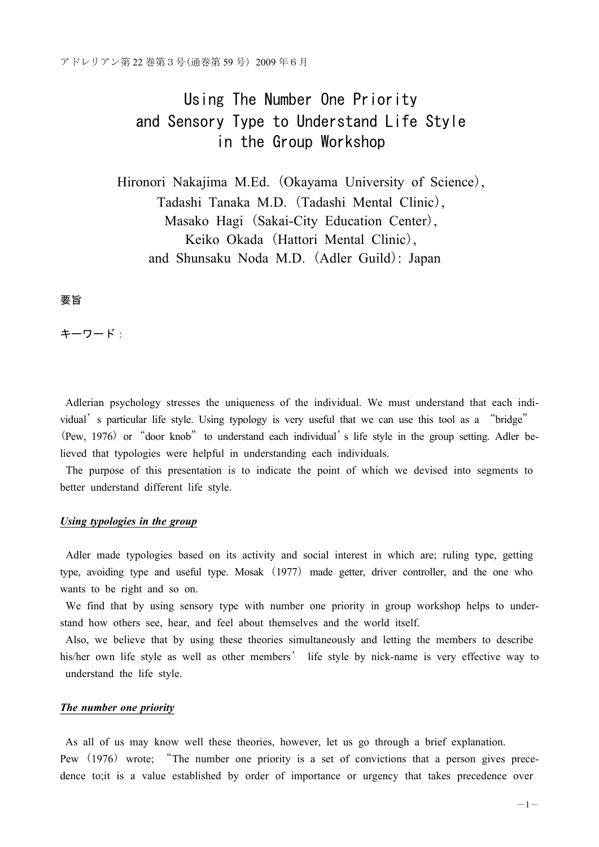# Using The Number One Priority and Sensory Type to Understand Life Style in the Group Workshop

Hironori Nakajima M.Ed. (Okayama University of Science), Tadashi Tanaka M.D. (Tadashi Mental Clinic), Masako Hagi (Sakai-City Education Center), Keiko Okada (Hattori Mental Clinic), and Shunsaku Noda M.D. (Adler Guild): Japan

要旨

キーワード:

Adlerian psychology stresses the uniqueness of the individual. We must understand that each individual's particular life style. Using typology is very useful that we can use this tool as a "bridge" (Pew, 1976) or "door knob" to understand each individual's life style in the group setting. Adler believed that typologies were helpful in understanding each individuals.

The purpose of this presentation is to indicate the point of which we devised into segments to better understand different life style.

#### *Using typologies in the group*

Adler made typologies based on its activity and social interest in which are; ruling type, getting type, avoiding type and useful type. Mosak (1977) made getter, driver controller, and the one who wants to be right and so on.

We find that by using sensory type with number one priority in group workshop helps to understand how others see, hear, and feel about themselves and the world itself.

Also, we believe that by using these theories simultaneously and letting the members to describe his/her own life style as well as other members' life style by nick-name is very effective way to understand the life style.

#### *The number one priority*

As all of us may know well these theories, however, let us go through a brief explanation. Pew (1976) wrote; "The number one priority is a set of convictions that a person gives precedence to;it is a value established by order of importance or urgency that takes precedence over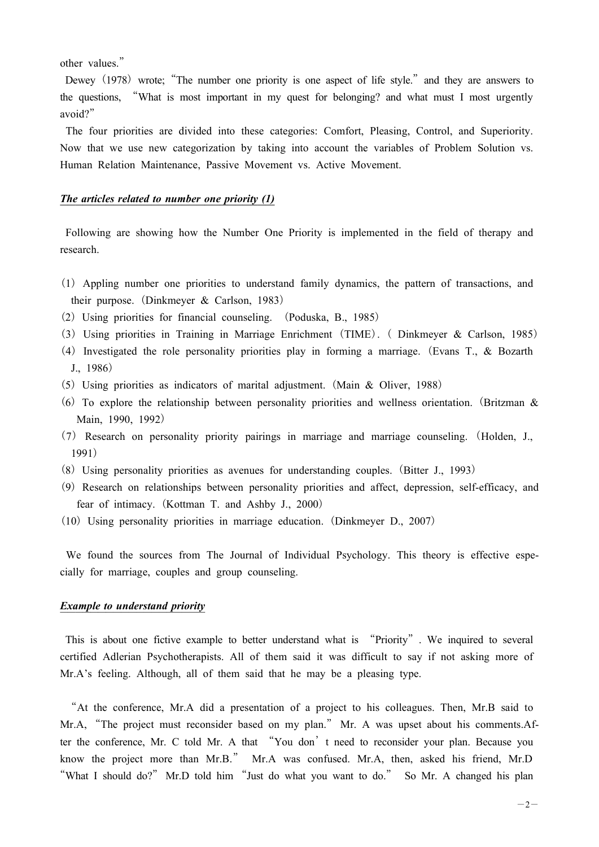other values."

Dewey (1978) wrote; "The number one priority is one aspect of life style." and they are answers to the questions, "What is most important in my quest for belonging? and what must I most urgently avoid?"

The four priorities are divided into these categories: Comfort, Pleasing, Control, and Superiority. Now that we use new categorization by taking into account the variables of Problem Solution vs. Human Relation Maintenance, Passive Movement vs. Active Movement.

#### *The articles related to number one priority (1)*

Following are showing how the Number One Priority is implemented in the field of therapy and research.

- (1) Appling number one priorities to understand family dynamics, the pattern of transactions, and their purpose. (Dinkmeyer & Carlson, 1983)
- (2) Using priorities for financial counseling. (Poduska, B., 1985)
- (3) Using priorities in Training in Marriage Enrichment (TIME). ( Dinkmeyer & Carlson, 1985)
- (4) Investigated the role personality priorities play in forming a marriage. (Evans T., & Bozarth J., 1986)
- (5) Using priorities as indicators of marital adjustment. (Main & Oliver, 1988)
- (6) To explore the relationship between personality priorities and wellness orientation. (Britzman & Main, 1990, 1992)
- (7) Research on personality priority pairings in marriage and marriage counseling. (Holden, J., 1991)
- (8) Using personality priorities as avenues for understanding couples. (Bitter J., 1993)
- (9) Research on relationships between personality priorities and affect, depression, self-efficacy, and fear of intimacy. (Kottman T. and Ashby J., 2000)
- (10) Using personality priorities in marriage education. (Dinkmeyer D., 2007)

We found the sources from The Journal of Individual Psychology. This theory is effective especially for marriage, couples and group counseling.

# *Example to understand priority*

This is about one fictive example to better understand what is "Priority". We inquired to several certified Adlerian Psychotherapists. All of them said it was difficult to say if not asking more of Mr.A's feeling. Although, all of them said that he may be a pleasing type.

"At the conference, Mr.A did a presentation of a project to his colleagues. Then, Mr.B said to Mr.A, "The project must reconsider based on my plan." Mr. A was upset about his comments.After the conference, Mr. C told Mr. A that "You don't need to reconsider your plan. Because you know the project more than Mr.B." Mr.A was confused. Mr.A, then, asked his friend, Mr.D "What I should do?" Mr.D told him "Just do what you want to do." So Mr. A changed his plan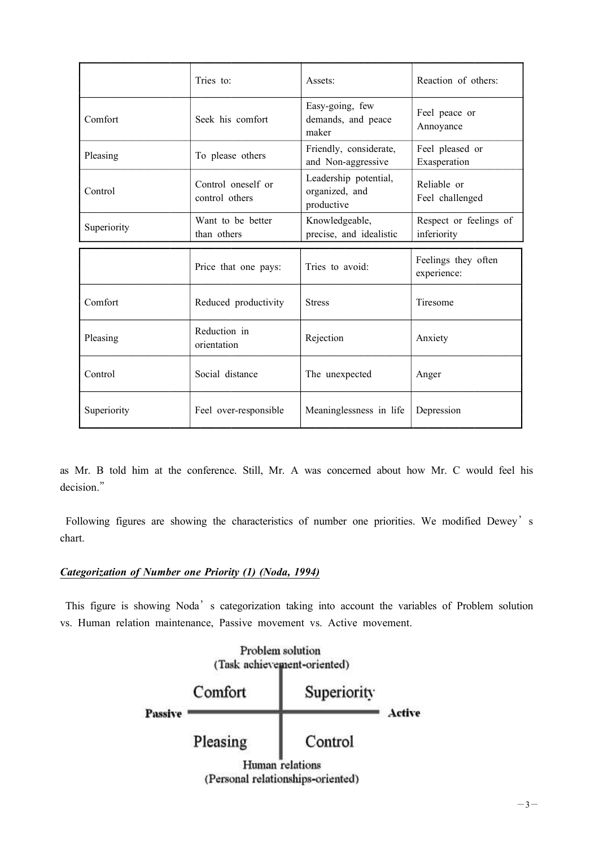|             | Tries to:                            | Assets:                                               | Reaction of others:                   |
|-------------|--------------------------------------|-------------------------------------------------------|---------------------------------------|
| Comfort     | Seek his comfort                     | Easy-going, few<br>demands, and peace<br>maker        | Feel peace or<br>Annoyance            |
| Pleasing    | To please others                     | Friendly, considerate,<br>and Non-aggressive          | Feel pleased or<br>Exasperation       |
| Control     | Control oneself or<br>control others | Leadership potential,<br>organized, and<br>productive | Reliable or<br>Feel challenged        |
| Superiority | Want to be better<br>than others     | Knowledgeable,<br>precise, and idealistic             | Respect or feelings of<br>inferiority |
|             |                                      |                                                       |                                       |
|             | Price that one pays:                 | Tries to avoid:                                       | Feelings they often<br>experience:    |
| Comfort     | Reduced productivity                 | <b>Stress</b>                                         | Tiresome                              |
| Pleasing    | Reduction in<br>orientation          | Rejection                                             | Anxiety                               |
| Control     | Social distance                      | The unexpected                                        | Anger                                 |

as Mr. B told him at the conference. Still, Mr. A was concerned about how Mr. C would feel his decision."

Following figures are showing the characteristics of number one priorities. We modified Dewey's chart.

# *Categorization of Number one Priority (1) (Noda, 1994)*

This figure is showing Noda's categorization taking into account the variables of Problem solution vs. Human relation maintenance, Passive movement vs. Active movement.

|         |          | Problem solution<br>(Task achievement-oriented)      |        |
|---------|----------|------------------------------------------------------|--------|
|         | Comfort  | Superiority                                          |        |
| Passive | Pleasing | Control                                              | Active |
|         |          | Human relations<br>(Personal relationships-oriented) |        |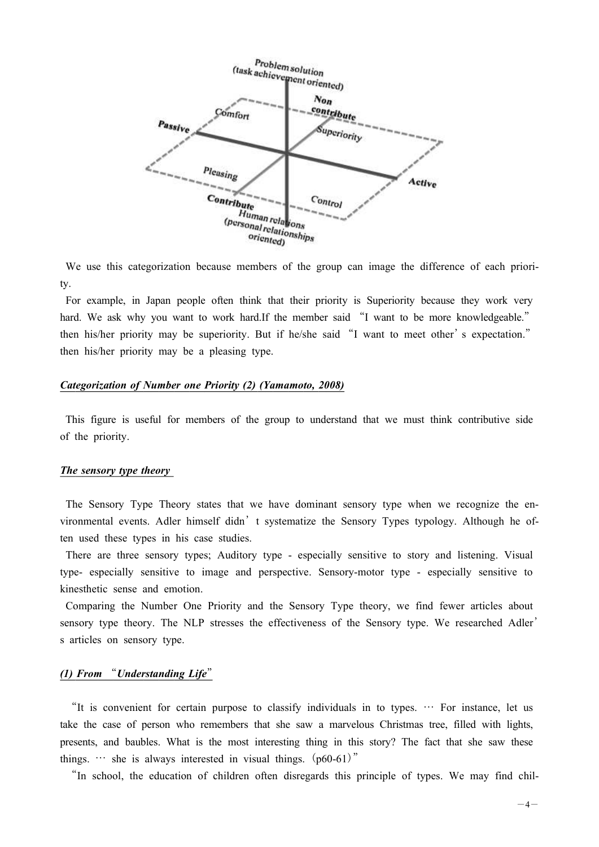

We use this categorization because members of the group can image the difference of each priority.

For example, in Japan people often think that their priority is Superiority because they work very hard. We ask why you want to work hard.If the member said "I want to be more knowledgeable." then his/her priority may be superiority. But if he/she said "I want to meet other's expectation." then his/her priority may be a pleasing type.

## *Categorization of Number one Priority (2) (Yamamoto, 2008)*

This figure is useful for members of the group to understand that we must think contributive side of the priority.

#### *The sensory type theory*

The Sensory Type Theory states that we have dominant sensory type when we recognize the environmental events. Adler himself didn't systematize the Sensory Types typology. Although he often used these types in his case studies.

There are three sensory types; Auditory type - especially sensitive to story and listening. Visual type- especially sensitive to image and perspective. Sensory-motor type - especially sensitive to kinesthetic sense and emotion.

Comparing the Number One Priority and the Sensory Type theory, we find fewer articles about sensory type theory. The NLP stresses the effectiveness of the Sensory type. We researched Adler' s articles on sensory type.

## *(1) From* "*Understanding Life*"

"It is convenient for certain purpose to classify individuals in to types. … For instance, let us take the case of person who remembers that she saw a marvelous Christmas tree, filled with lights, presents, and baubles. What is the most interesting thing in this story? The fact that she saw these things.  $\cdots$  she is always interested in visual things. (p60-61)"

"In school, the education of children often disregards this principle of types. We may find chil-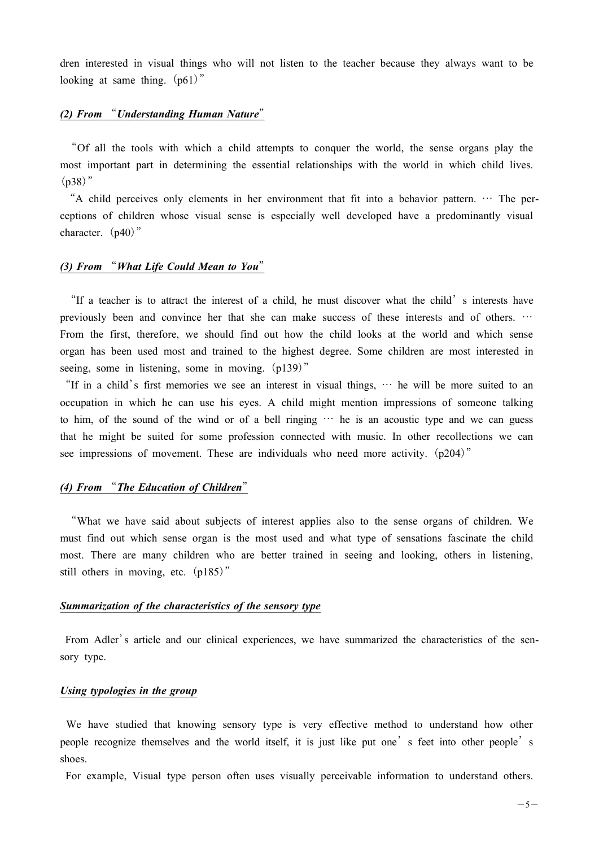dren interested in visual things who will not listen to the teacher because they always want to be looking at same thing.  $(p61)$ "

#### *(2) From* "*Understanding Human Nature*"

"Of all the tools with which a child attempts to conquer the world, the sense organs play the most important part in determining the essential relationships with the world in which child lives.  $(p38)$ "

"A child perceives only elements in her environment that fit into a behavior pattern. … The perceptions of children whose visual sense is especially well developed have a predominantly visual character. (p40)"

# *(3) From* "*What Life Could Mean to You*"

"If a teacher is to attract the interest of a child, he must discover what the child's interests have previously been and convince her that she can make success of these interests and of others. … From the first, therefore, we should find out how the child looks at the world and which sense organ has been used most and trained to the highest degree. Some children are most interested in seeing, some in listening, some in moving. (p139)"

"If in a child's first memories we see an interest in visual things, … he will be more suited to an occupation in which he can use his eyes. A child might mention impressions of someone talking to him, of the sound of the wind or of a bell ringing  $\cdots$  he is an acoustic type and we can guess that he might be suited for some profession connected with music. In other recollections we can see impressions of movement. These are individuals who need more activity. (p204)"

#### *(4) From* "*The Education of Children*"

"What we have said about subjects of interest applies also to the sense organs of children. We must find out which sense organ is the most used and what type of sensations fascinate the child most. There are many children who are better trained in seeing and looking, others in listening, still others in moving, etc. (p185)"

#### *Summarization of the characteristics of the sensory type*

From Adler's article and our clinical experiences, we have summarized the characteristics of the sensory type.

#### *Using typologies in the group*

We have studied that knowing sensory type is very effective method to understand how other people recognize themselves and the world itself, it is just like put one's feet into other people's shoes.

For example, Visual type person often uses visually perceivable information to understand others.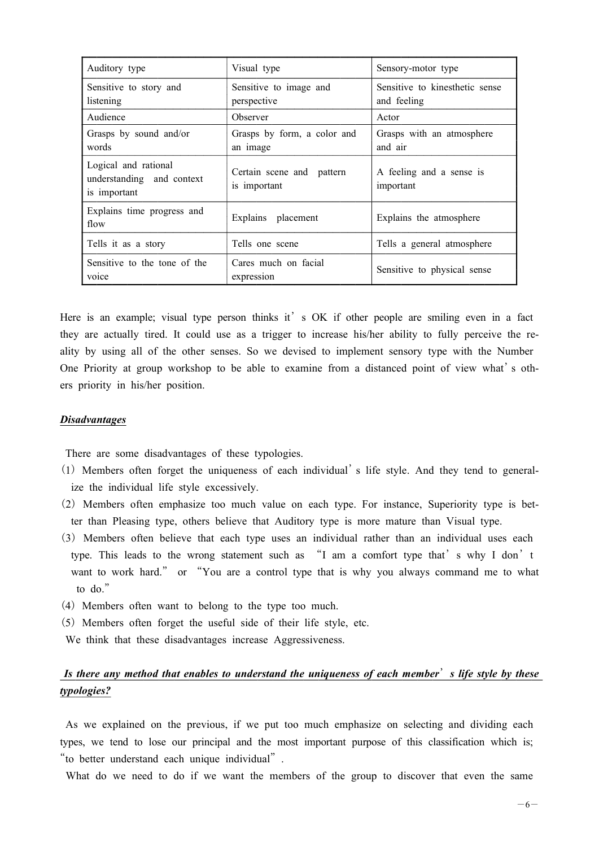| Auditory type                                                     | Visual type                               | Sensory-motor type                            |
|-------------------------------------------------------------------|-------------------------------------------|-----------------------------------------------|
| Sensitive to story and<br>listening                               | Sensitive to image and<br>perspective     | Sensitive to kinesthetic sense<br>and feeling |
| Audience                                                          | Observer                                  | Actor                                         |
| Grasps by sound and/or<br>words                                   | Grasps by form, a color and<br>an image   | Grasps with an atmosphere<br>and air          |
| Logical and rational<br>understanding and context<br>is important | Certain scene and pattern<br>is important | A feeling and a sense is<br>important         |
| Explains time progress and<br>flow                                | Explains placement                        | Explains the atmosphere                       |
| Tells it as a story                                               | Tells one scene                           | Tells a general atmosphere                    |
| Sensitive to the tone of the<br>voice                             | Cares much on facial<br>expression        | Sensitive to physical sense                   |

Here is an example; visual type person thinks it' s OK if other people are smiling even in a fact they are actually tired. It could use as a trigger to increase his/her ability to fully perceive the reality by using all of the other senses. So we devised to implement sensory type with the Number One Priority at group workshop to be able to examine from a distanced point of view what's others priority in his/her position.

#### *Disadvantages*

There are some disadvantages of these typologies.

- (1) Members often forget the uniqueness of each individual's life style. And they tend to generalize the individual life style excessively.
- (2) Members often emphasize too much value on each type. For instance, Superiority type is better than Pleasing type, others believe that Auditory type is more mature than Visual type.
- (3) Members often believe that each type uses an individual rather than an individual uses each type. This leads to the wrong statement such as "I am a comfort type that's why I don't want to work hard." or "You are a control type that is why you always command me to what to do."
- (4) Members often want to belong to the type too much.
- (5) Members often forget the useful side of their life style, etc.

We think that these disadvantages increase Aggressiveness.

# *Is there any method that enables to understand the uniqueness of each member*'*s life style by these typologies?*

As we explained on the previous, if we put too much emphasize on selecting and dividing each types, we tend to lose our principal and the most important purpose of this classification which is; "to better understand each unique individual".

What do we need to do if we want the members of the group to discover that even the same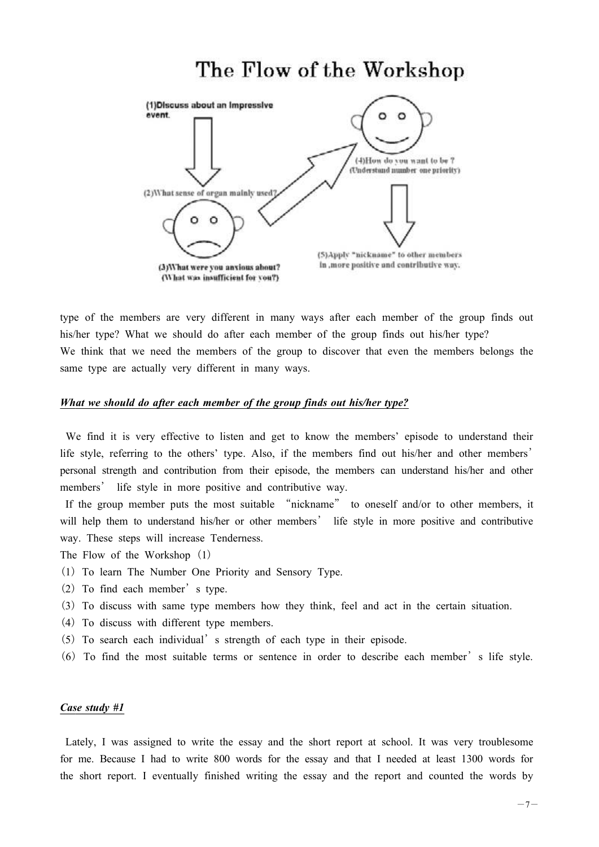# The Flow of the Workshop



type of the members are very different in many ways after each member of the group finds out his/her type? What we should do after each member of the group finds out his/her type? We think that we need the members of the group to discover that even the members belongs the same type are actually very different in many ways.

# *What we should do after each member of the group finds out his/her type?*

We find it is very effective to listen and get to know the members' episode to understand their life style, referring to the others' type. Also, if the members find out his/her and other members' personal strength and contribution from their episode, the members can understand his/her and other members' life style in more positive and contributive way.

If the group member puts the most suitable "nickname" to oneself and/or to other members, it will help them to understand his/her or other members' life style in more positive and contributive way. These steps will increase Tenderness.

- The Flow of the Workshop (1)
- (1) To learn The Number One Priority and Sensory Type.
- (2) To find each member's type.
- (3) To discuss with same type members how they think, feel and act in the certain situation.
- (4) To discuss with different type members.
- (5) To search each individual's strength of each type in their episode.
- (6) To find the most suitable terms or sentence in order to describe each member's life style.

#### *Case study #1*

Lately, I was assigned to write the essay and the short report at school. It was very troublesome for me. Because I had to write 800 words for the essay and that I needed at least 1300 words for the short report. I eventually finished writing the essay and the report and counted the words by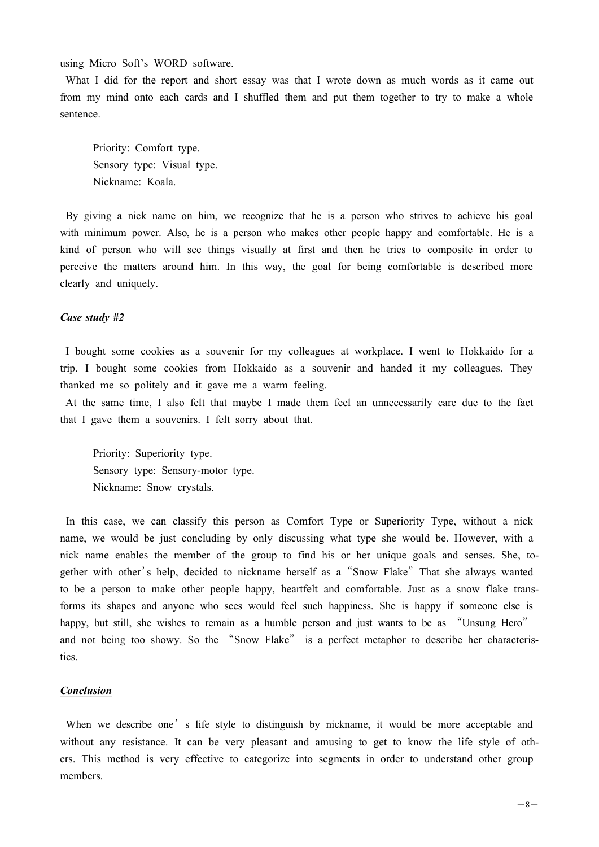using Micro Soft's WORD software.

What I did for the report and short essay was that I wrote down as much words as it came out from my mind onto each cards and I shuffled them and put them together to try to make a whole sentence.

Priority: Comfort type. Sensory type: Visual type. Nickname: Koala.

By giving a nick name on him, we recognize that he is a person who strives to achieve his goal with minimum power. Also, he is a person who makes other people happy and comfortable. He is a kind of person who will see things visually at first and then he tries to composite in order to perceive the matters around him. In this way, the goal for being comfortable is described more clearly and uniquely.

#### *Case study #2*

I bought some cookies as a souvenir for my colleagues at workplace. I went to Hokkaido for a trip. I bought some cookies from Hokkaido as a souvenir and handed it my colleagues. They thanked me so politely and it gave me a warm feeling.

At the same time, I also felt that maybe I made them feel an unnecessarily care due to the fact that I gave them a souvenirs. I felt sorry about that.

Priority: Superiority type. Sensory type: Sensory-motor type. Nickname: Snow crystals.

In this case, we can classify this person as Comfort Type or Superiority Type, without a nick name, we would be just concluding by only discussing what type she would be. However, with a nick name enables the member of the group to find his or her unique goals and senses. She, together with other's help, decided to nickname herself as a"Snow Flake"That she always wanted to be a person to make other people happy, heartfelt and comfortable. Just as a snow flake transforms its shapes and anyone who sees would feel such happiness. She is happy if someone else is happy, but still, she wishes to remain as a humble person and just wants to be as "Unsung Hero" and not being too showy. So the "Snow Flake" is a perfect metaphor to describe her characteristics.

#### *Conclusion*

When we describe one's life style to distinguish by nickname, it would be more acceptable and without any resistance. It can be very pleasant and amusing to get to know the life style of others. This method is very effective to categorize into segments in order to understand other group members.